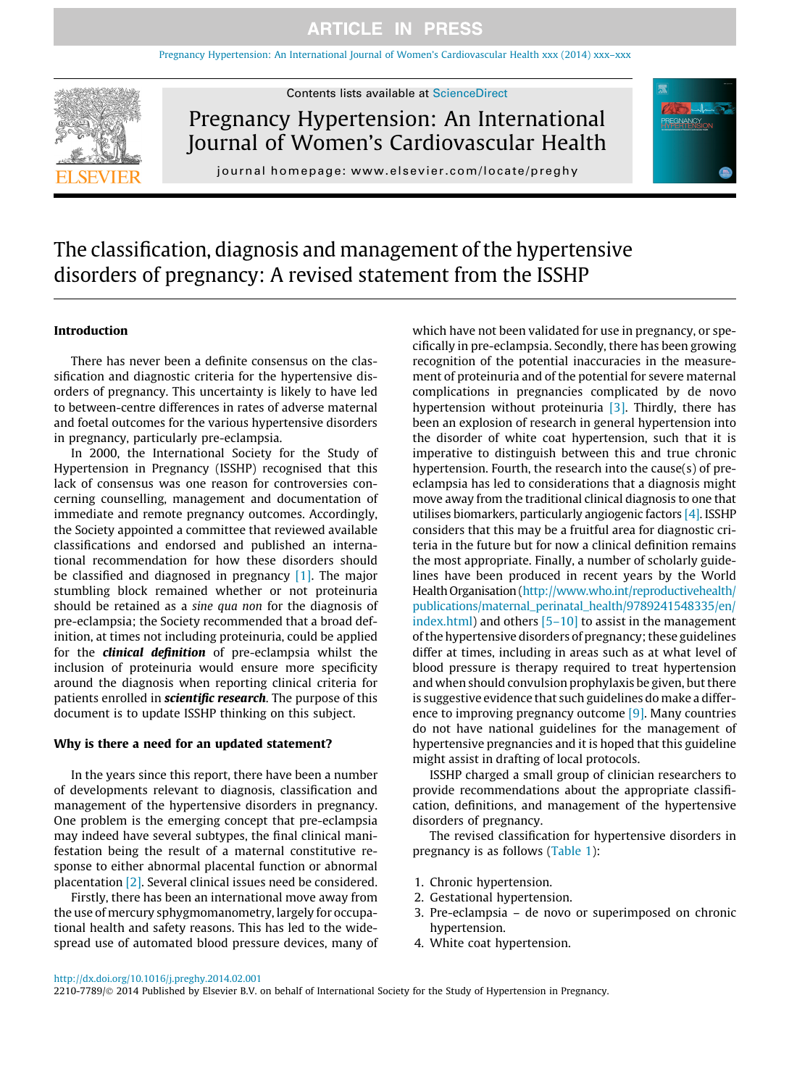[Pregnancy Hypertension: An International Journal of Women's Cardiovascular Health xxx \(2014\) xxx–xxx](http://dx.doi.org/10.1016/j.preghy.2014.02.001)



Contents lists available at [ScienceDirect](http://www.sciencedirect.com/science/journal/22107789)

Pregnancy Hypertension: An International Journal of Women's Cardiovascular Health





# The classification, diagnosis and management of the hypertensive disorders of pregnancy: A revised statement from the ISSHP

### Introduction

There has never been a definite consensus on the classification and diagnostic criteria for the hypertensive disorders of pregnancy. This uncertainty is likely to have led to between-centre differences in rates of adverse maternal and foetal outcomes for the various hypertensive disorders in pregnancy, particularly pre-eclampsia.

In 2000, the International Society for the Study of Hypertension in Pregnancy (ISSHP) recognised that this lack of consensus was one reason for controversies concerning counselling, management and documentation of immediate and remote pregnancy outcomes. Accordingly, the Society appointed a committee that reviewed available classifications and endorsed and published an international recommendation for how these disorders should be classified and diagnosed in pregnancy [\[1\].](#page-6-0) The major stumbling block remained whether or not proteinuria should be retained as a sine qua non for the diagnosis of pre-eclampsia; the Society recommended that a broad definition, at times not including proteinuria, could be applied for the clinical definition of pre-eclampsia whilst the inclusion of proteinuria would ensure more specificity around the diagnosis when reporting clinical criteria for patients enrolled in **scientific research**. The purpose of this document is to update ISSHP thinking on this subject.

#### Why is there a need for an updated statement?

In the years since this report, there have been a number of developments relevant to diagnosis, classification and management of the hypertensive disorders in pregnancy. One problem is the emerging concept that pre-eclampsia may indeed have several subtypes, the final clinical manifestation being the result of a maternal constitutive response to either abnormal placental function or abnormal placentation [\[2\].](#page-6-0) Several clinical issues need be considered.

Firstly, there has been an international move away from the use of mercury sphygmomanometry, largely for occupational health and safety reasons. This has led to the widespread use of automated blood pressure devices, many of

which have not been validated for use in pregnancy, or specifically in pre-eclampsia. Secondly, there has been growing recognition of the potential inaccuracies in the measurement of proteinuria and of the potential for severe maternal complications in pregnancies complicated by de novo hypertension without proteinuria [\[3\]](#page-6-0). Thirdly, there has been an explosion of research in general hypertension into the disorder of white coat hypertension, such that it is imperative to distinguish between this and true chronic hypertension. Fourth, the research into the cause(s) of preeclampsia has led to considerations that a diagnosis might move away from the traditional clinical diagnosis to one that utilises biomarkers, particularly angiogenic factors [\[4\]](#page-6-0). ISSHP considers that this may be a fruitful area for diagnostic criteria in the future but for now a clinical definition remains the most appropriate. Finally, a number of scholarly guidelines have been produced in recent years by the World Health Organisation [\(http://www.who.int/reproductivehealth/](http://www.who.int/reproductivehealth/publications/maternal_perinatal_health/9789241548335/en/index.html) [publications/maternal\\_perinatal\\_health/9789241548335/en/](http://www.who.int/reproductivehealth/publications/maternal_perinatal_health/9789241548335/en/index.html) [index.html\)](http://www.who.int/reproductivehealth/publications/maternal_perinatal_health/9789241548335/en/index.html) and others [\[5–10\]](#page-6-0) to assist in the management of the hypertensive disorders of pregnancy; these guidelines differ at times, including in areas such as at what level of blood pressure is therapy required to treat hypertension and when should convulsion prophylaxis be given, but there is suggestive evidence that such guidelines do make a difference to improving pregnancy outcome [\[9\]](#page-6-0). Many countries do not have national guidelines for the management of hypertensive pregnancies and it is hoped that this guideline might assist in drafting of local protocols.

ISSHP charged a small group of clinician researchers to provide recommendations about the appropriate classification, definitions, and management of the hypertensive disorders of pregnancy.

The revised classification for hypertensive disorders in pregnancy is as follows ([Table 1\)](#page-1-0):

- 1. Chronic hypertension.
- 2. Gestational hypertension.
- 3. Pre-eclampsia de novo or superimposed on chronic hypertension.
- 4. White coat hypertension.

2210-7789/© 2014 Published by Elsevier B.V. on behalf of International Society for the Study of Hypertension in Pregnancy.

<http://dx.doi.org/10.1016/j.preghy.2014.02.001>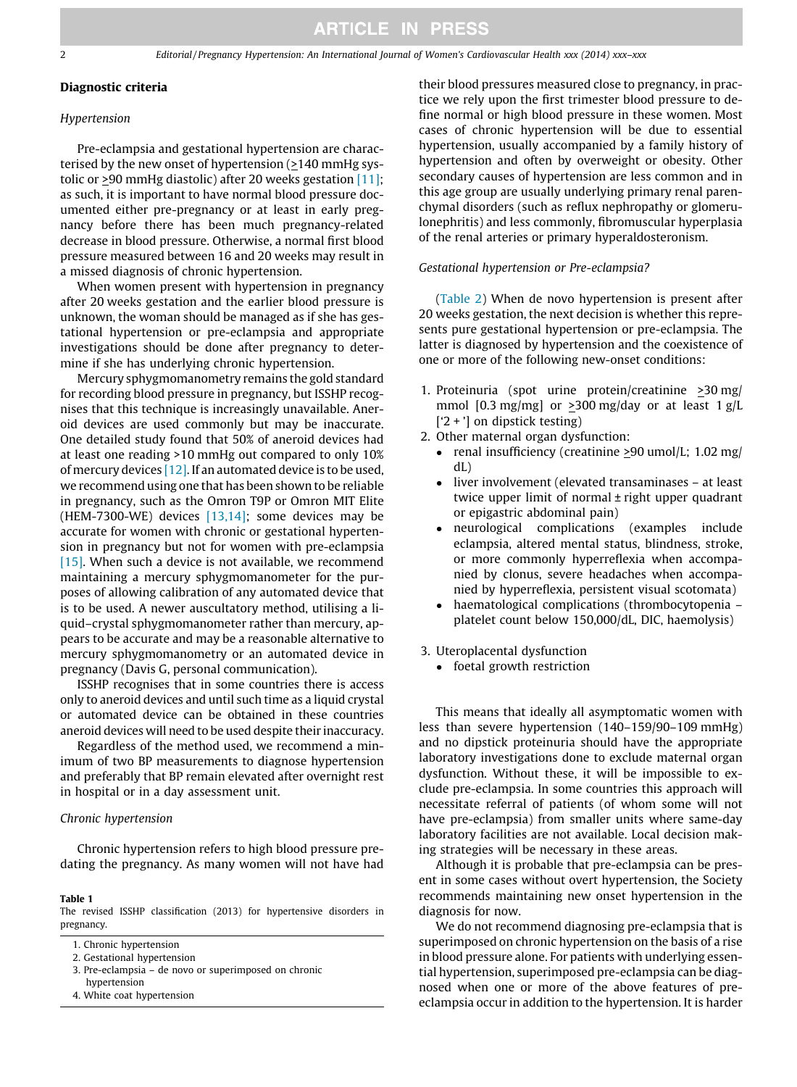## <span id="page-1-0"></span>Diagnostic criteria

#### Hypertension

Pre-eclampsia and gestational hypertension are characterised by the new onset of hypertension (>140 mmHg systolic or >90 mmHg diastolic) after 20 weeks gestation [\[11\]](#page-6-0); as such, it is important to have normal blood pressure documented either pre-pregnancy or at least in early pregnancy before there has been much pregnancy-related decrease in blood pressure. Otherwise, a normal first blood pressure measured between 16 and 20 weeks may result in a missed diagnosis of chronic hypertension.

When women present with hypertension in pregnancy after 20 weeks gestation and the earlier blood pressure is unknown, the woman should be managed as if she has gestational hypertension or pre-eclampsia and appropriate investigations should be done after pregnancy to determine if she has underlying chronic hypertension.

Mercury sphygmomanometry remains the gold standard for recording blood pressure in pregnancy, but ISSHP recognises that this technique is increasingly unavailable. Aneroid devices are used commonly but may be inaccurate. One detailed study found that 50% of aneroid devices had at least one reading >10 mmHg out compared to only 10% of mercury devices  $[12]$ . If an automated device is to be used, we recommend using one that has been shown to be reliable in pregnancy, such as the Omron T9P or Omron MIT Elite (HEM-7300-WE) devices  $[13,14]$ ; some devices may be accurate for women with chronic or gestational hypertension in pregnancy but not for women with pre-eclampsia [\[15\].](#page-6-0) When such a device is not available, we recommend maintaining a mercury sphygmomanometer for the purposes of allowing calibration of any automated device that is to be used. A newer auscultatory method, utilising a liquid–crystal sphygmomanometer rather than mercury, appears to be accurate and may be a reasonable alternative to mercury sphygmomanometry or an automated device in pregnancy (Davis G, personal communication).

ISSHP recognises that in some countries there is access only to aneroid devices and until such time as a liquid crystal or automated device can be obtained in these countries aneroid devices will need to be used despite their inaccuracy.

Regardless of the method used, we recommend a minimum of two BP measurements to diagnose hypertension and preferably that BP remain elevated after overnight rest in hospital or in a day assessment unit.

#### Chronic hypertension

Chronic hypertension refers to high blood pressure predating the pregnancy. As many women will not have had

#### Table 1

The revised ISSHP classification (2013) for hypertensive disorders in pregnancy.

- 3. Pre-eclampsia de novo or superimposed on chronic hypertension
- 4. White coat hypertension

their blood pressures measured close to pregnancy, in practice we rely upon the first trimester blood pressure to define normal or high blood pressure in these women. Most cases of chronic hypertension will be due to essential hypertension, usually accompanied by a family history of hypertension and often by overweight or obesity. Other secondary causes of hypertension are less common and in this age group are usually underlying primary renal parenchymal disorders (such as reflux nephropathy or glomerulonephritis) and less commonly, fibromuscular hyperplasia of the renal arteries or primary hyperaldosteronism.

#### Gestational hypertension or Pre-eclampsia?

([Table 2](#page-2-0)) When de novo hypertension is present after 20 weeks gestation, the next decision is whether this represents pure gestational hypertension or pre-eclampsia. The latter is diagnosed by hypertension and the coexistence of one or more of the following new-onset conditions:

- 1. Proteinuria (spot urine protein/creatinine >30 mg/ mmol [0.3 mg/mg] or  $\geq$ 300 mg/day or at least 1 g/L ['2 + '] on dipstick testing)
- 2. Other maternal organ dysfunction:
	- renal insufficiency (creatinine  $\geq$ 90 umol/L; 1.02 mg/ dL)
	- liver involvement (elevated transaminases at least twice upper limit of normal ± right upper quadrant or epigastric abdominal pain)
	- neurological complications (examples include eclampsia, altered mental status, blindness, stroke, or more commonly hyperreflexia when accompanied by clonus, severe headaches when accompanied by hyperreflexia, persistent visual scotomata)
	- haematological complications (thrombocytopenia – platelet count below 150,000/dL, DIC, haemolysis)
- 3. Uteroplacental dysfunction
	- foetal growth restriction

This means that ideally all asymptomatic women with less than severe hypertension (140–159/90–109 mmHg) and no dipstick proteinuria should have the appropriate laboratory investigations done to exclude maternal organ dysfunction. Without these, it will be impossible to exclude pre-eclampsia. In some countries this approach will necessitate referral of patients (of whom some will not have pre-eclampsia) from smaller units where same-day laboratory facilities are not available. Local decision making strategies will be necessary in these areas.

Although it is probable that pre-eclampsia can be present in some cases without overt hypertension, the Society recommends maintaining new onset hypertension in the diagnosis for now.

We do not recommend diagnosing pre-eclampsia that is superimposed on chronic hypertension on the basis of a rise in blood pressure alone. For patients with underlying essential hypertension, superimposed pre-eclampsia can be diagnosed when one or more of the above features of preeclampsia occur in addition to the hypertension. It is harder

<sup>1.</sup> Chronic hypertension

<sup>2.</sup> Gestational hypertension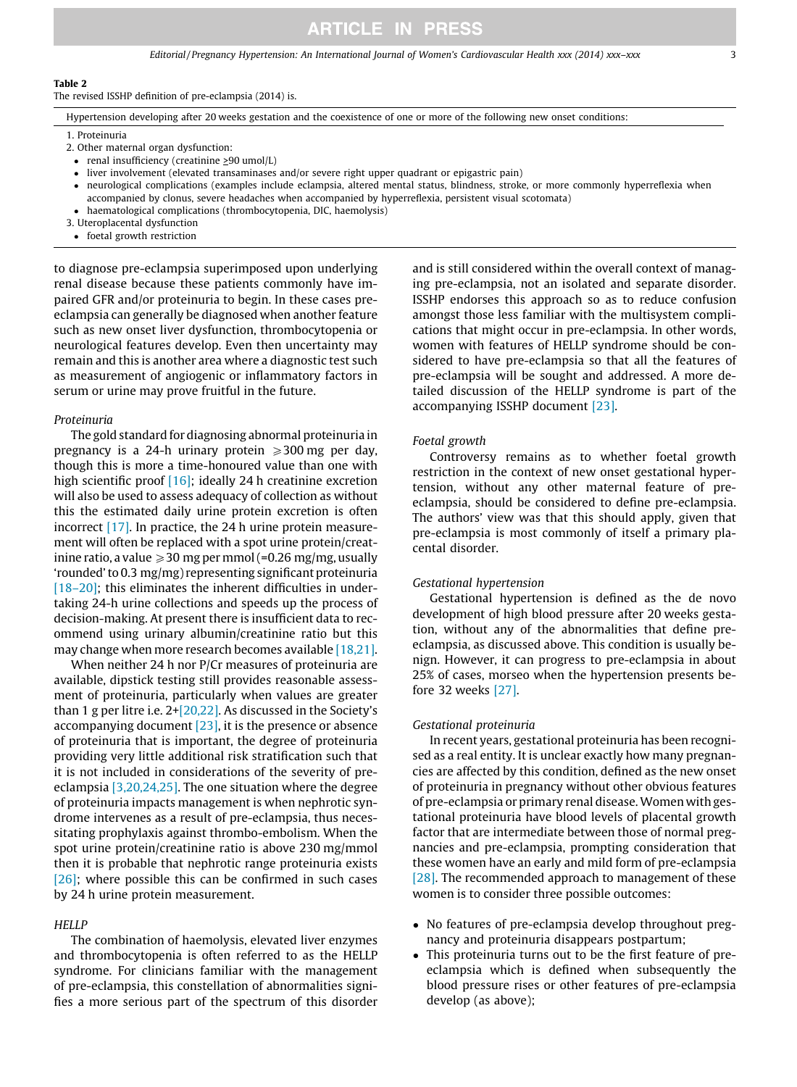## **ARTICLE IN PRESS**

Editorial / Pregnancy Hypertension: An International Journal of Women's Cardiovascular Health xxx (2014) xxx–xxx 3

#### <span id="page-2-0"></span>Table 2

The revised ISSHP definition of pre-eclampsia (2014) is.

Hypertension developing after 20 weeks gestation and the coexistence of one or more of the following new onset conditions:

1. Proteinuria

- 2. Other maternal organ dysfunction:
- renal insufficiency (creatinine >90 umol/L)
- liver involvement (elevated transaminases and/or severe right upper quadrant or epigastric pain)
- $\bullet$  neurological complications (examples include eclampsia, altered mental status, blindness, stroke, or more commonly hyperreflexia when accompanied by clonus, severe headaches when accompanied by hyperreflexia, persistent visual scotomata)
- haematological complications (thrombocytopenia, DIC, haemolysis)
- 3. Uteroplacental dysfunction
- foetal growth restriction

to diagnose pre-eclampsia superimposed upon underlying renal disease because these patients commonly have impaired GFR and/or proteinuria to begin. In these cases preeclampsia can generally be diagnosed when another feature such as new onset liver dysfunction, thrombocytopenia or neurological features develop. Even then uncertainty may remain and this is another area where a diagnostic test such as measurement of angiogenic or inflammatory factors in serum or urine may prove fruitful in the future.

#### Proteinuria

The gold standard for diagnosing abnormal proteinuria in pregnancy is a 24-h urinary protein  $\geq 300$  mg per day, though this is more a time-honoured value than one with high scientific proof [\[16\]](#page-6-0); ideally 24 h creatinine excretion will also be used to assess adequacy of collection as without this the estimated daily urine protein excretion is often incorrect [\[17\]](#page-6-0). In practice, the 24 h urine protein measurement will often be replaced with a spot urine protein/creatinine ratio, a value  $\geqslant$  30 mg per mmol (=0.26 mg/mg, usually 'rounded' to 0.3 mg/mg) representing significant proteinuria [\[18–20\]](#page-6-0); this eliminates the inherent difficulties in undertaking 24-h urine collections and speeds up the process of decision-making. At present there is insufficient data to recommend using urinary albumin/creatinine ratio but this may change when more research becomes available [\[18,21\]](#page-6-0).

When neither 24 h nor P/Cr measures of proteinuria are available, dipstick testing still provides reasonable assessment of proteinuria, particularly when values are greater than 1 g per litre i.e. 2[+\[20,22\]](#page-6-0). As discussed in the Society's accompanying document [\[23\],](#page-6-0) it is the presence or absence of proteinuria that is important, the degree of proteinuria providing very little additional risk stratification such that it is not included in considerations of the severity of preeclampsia [\[3,20,24,25\]](#page-6-0). The one situation where the degree of proteinuria impacts management is when nephrotic syndrome intervenes as a result of pre-eclampsia, thus necessitating prophylaxis against thrombo-embolism. When the spot urine protein/creatinine ratio is above 230 mg/mmol then it is probable that nephrotic range proteinuria exists [\[26\]](#page-6-0); where possible this can be confirmed in such cases by 24 h urine protein measurement.

#### **HELLP**

The combination of haemolysis, elevated liver enzymes and thrombocytopenia is often referred to as the HELLP syndrome. For clinicians familiar with the management of pre-eclampsia, this constellation of abnormalities signifies a more serious part of the spectrum of this disorder and is still considered within the overall context of managing pre-eclampsia, not an isolated and separate disorder. ISSHP endorses this approach so as to reduce confusion amongst those less familiar with the multisystem complications that might occur in pre-eclampsia. In other words, women with features of HELLP syndrome should be considered to have pre-eclampsia so that all the features of pre-eclampsia will be sought and addressed. A more detailed discussion of the HELLP syndrome is part of the accompanying ISSHP document [\[23\]](#page-6-0).

#### Foetal growth

Controversy remains as to whether foetal growth restriction in the context of new onset gestational hypertension, without any other maternal feature of preeclampsia, should be considered to define pre-eclampsia. The authors' view was that this should apply, given that pre-eclampsia is most commonly of itself a primary placental disorder.

#### Gestational hypertension

Gestational hypertension is defined as the de novo development of high blood pressure after 20 weeks gestation, without any of the abnormalities that define preeclampsia, as discussed above. This condition is usually benign. However, it can progress to pre-eclampsia in about 25% of cases, morseo when the hypertension presents before 32 weeks [\[27\].](#page-6-0)

#### Gestational proteinuria

In recent years, gestational proteinuria has been recognised as a real entity. It is unclear exactly how many pregnancies are affected by this condition, defined as the new onset of proteinuria in pregnancy without other obvious features of pre-eclampsia or primary renal disease.Women with gestational proteinuria have blood levels of placental growth factor that are intermediate between those of normal pregnancies and pre-eclampsia, prompting consideration that these women have an early and mild form of pre-eclampsia [\[28\]](#page-6-0). The recommended approach to management of these women is to consider three possible outcomes:

- No features of pre-eclampsia develop throughout pregnancy and proteinuria disappears postpartum;
- This proteinuria turns out to be the first feature of preeclampsia which is defined when subsequently the blood pressure rises or other features of pre-eclampsia develop (as above);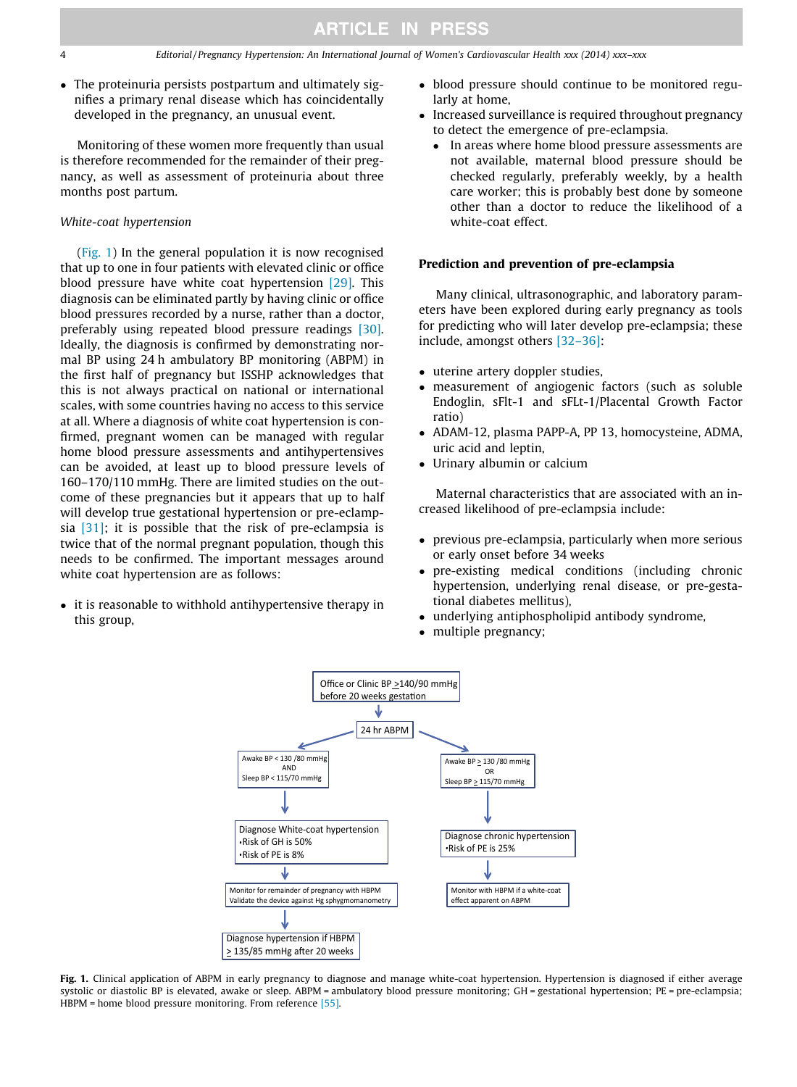$\bullet$  The proteinuria persists postpartum and ultimately signifies a primary renal disease which has coincidentally developed in the pregnancy, an unusual event.

Monitoring of these women more frequently than usual is therefore recommended for the remainder of their pregnancy, as well as assessment of proteinuria about three months post partum.

#### White-coat hypertension

(Fig. 1) In the general population it is now recognised that up to one in four patients with elevated clinic or office blood pressure have white coat hypertension [\[29\]](#page-7-0). This diagnosis can be eliminated partly by having clinic or office blood pressures recorded by a nurse, rather than a doctor, preferably using repeated blood pressure readings [\[30\]](#page-7-0). Ideally, the diagnosis is confirmed by demonstrating normal BP using 24 h ambulatory BP monitoring (ABPM) in the first half of pregnancy but ISSHP acknowledges that this is not always practical on national or international scales, with some countries having no access to this service at all. Where a diagnosis of white coat hypertension is confirmed, pregnant women can be managed with regular home blood pressure assessments and antihypertensives can be avoided, at least up to blood pressure levels of 160–170/110 mmHg. There are limited studies on the outcome of these pregnancies but it appears that up to half will develop true gestational hypertension or pre-eclampsia  $[31]$ ; it is possible that the risk of pre-eclampsia is twice that of the normal pregnant population, though this needs to be confirmed. The important messages around white coat hypertension are as follows:

- it is reasonable to withhold antihypertensive therapy in this group,

- blood pressure should continue to be monitored regularly at home,
- Increased surveillance is required throughout pregnancy to detect the emergence of pre-eclampsia.
	- - In areas where home blood pressure assessments are not available, maternal blood pressure should be checked regularly, preferably weekly, by a health care worker; this is probably best done by someone other than a doctor to reduce the likelihood of a white-coat effect.

#### Prediction and prevention of pre-eclampsia

Many clinical, ultrasonographic, and laboratory parameters have been explored during early pregnancy as tools for predicting who will later develop pre-eclampsia; these include, amongst others [\[32–36\]](#page-7-0):

- uterine artery doppler studies,
- measurement of angiogenic factors (such as soluble Endoglin, sFlt-1 and sFLt-1/Placental Growth Factor ratio)
- ADAM-12, plasma PAPP-A, PP 13, homocysteine, ADMA, uric acid and leptin,
- -Urinary albumin or calcium

Maternal characteristics that are associated with an increased likelihood of pre-eclampsia include:

- previous pre-eclampsia, particularly when more serious or early onset before 34 weeks
- $\bullet$  pre-existing medical conditions (including chronic hypertension, underlying renal disease, or pre-gestational diabetes mellitus),
- underlying antiphospholipid antibody syndrome,
- multiple pregnancy;



Fig. 1. Clinical application of ABPM in early pregnancy to diagnose and manage white-coat hypertension. Hypertension is diagnosed if either average systolic or diastolic BP is elevated, awake or sleep. ABPM = ambulatory blood pressure monitoring; GH = gestational hypertension; PE = pre-eclampsia; HBPM = home blood pressure monitoring. From reference [\[55\].](#page-7-0)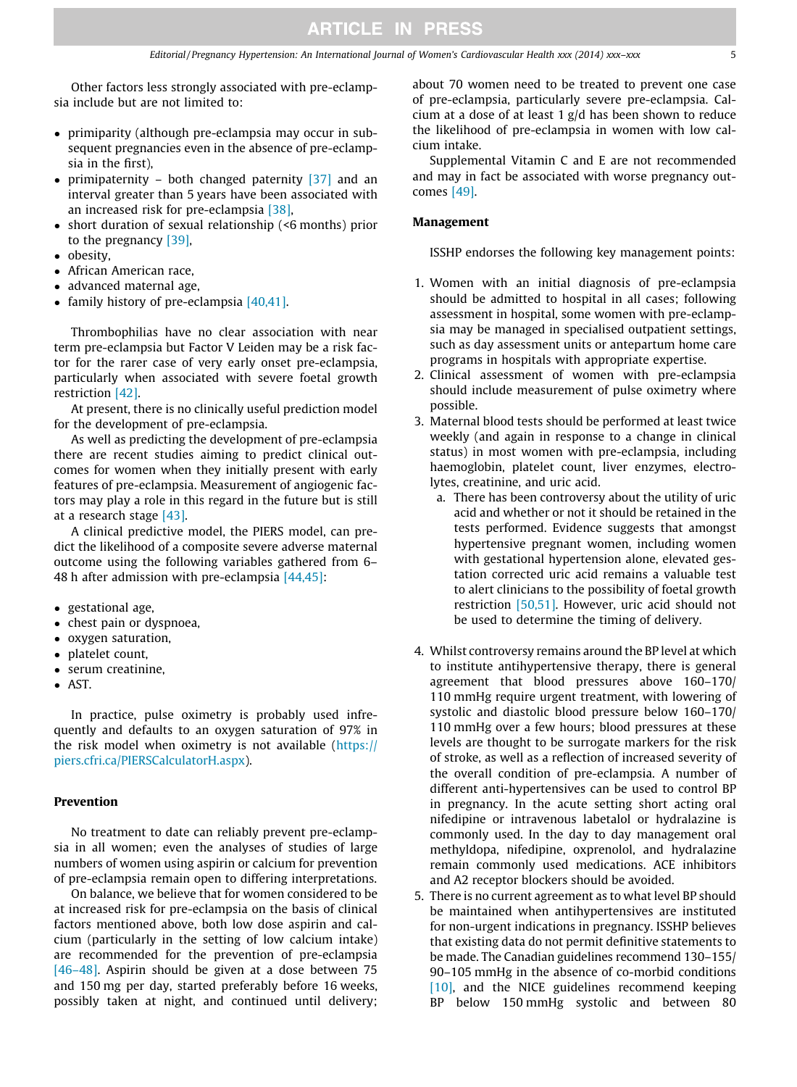Other factors less strongly associated with pre-eclampsia include but are not limited to:

- primiparity (although pre-eclampsia may occur in subsequent pregnancies even in the absence of pre-eclampsia in the first),
- primipaternity both changed paternity [\[37\]](#page-7-0) and an interval greater than 5 years have been associated with an increased risk for pre-eclampsia [\[38\],](#page-7-0)
- short duration of sexual relationship (<6 months) prior to the pregnancy [\[39\]](#page-7-0),
- obesity,
- African American race,
- advanced maternal age,
- family history of pre-eclampsia [\[40,41\]](#page-7-0).

Thrombophilias have no clear association with near term pre-eclampsia but Factor V Leiden may be a risk factor for the rarer case of very early onset pre-eclampsia, particularly when associated with severe foetal growth restriction [\[42\]](#page-7-0).

At present, there is no clinically useful prediction model for the development of pre-eclampsia.

As well as predicting the development of pre-eclampsia there are recent studies aiming to predict clinical outcomes for women when they initially present with early features of pre-eclampsia. Measurement of angiogenic factors may play a role in this regard in the future but is still at a research stage [\[43\]](#page-7-0).

A clinical predictive model, the PIERS model, can predict the likelihood of a composite severe adverse maternal outcome using the following variables gathered from 6– 48 h after admission with pre-eclampsia [\[44,45\]:](#page-7-0)

- gestational age,
- chest pain or dyspnoea,
- oxygen saturation,
- platelet count,
- serum creatinine,
- $\bullet$  AST.

In practice, pulse oximetry is probably used infrequently and defaults to an oxygen saturation of 97% in the risk model when oximetry is not available ([https://](https://piers.cfri.ca/PIERSCalculatorH.aspx) [piers.cfri.ca/PIERSCalculatorH.aspx](https://piers.cfri.ca/PIERSCalculatorH.aspx)).

## Prevention

No treatment to date can reliably prevent pre-eclampsia in all women; even the analyses of studies of large numbers of women using aspirin or calcium for prevention of pre-eclampsia remain open to differing interpretations.

On balance, we believe that for women considered to be at increased risk for pre-eclampsia on the basis of clinical factors mentioned above, both low dose aspirin and calcium (particularly in the setting of low calcium intake) are recommended for the prevention of pre-eclampsia [\[46–48\].](#page-7-0) Aspirin should be given at a dose between 75 and 150 mg per day, started preferably before 16 weeks, possibly taken at night, and continued until delivery;

about 70 women need to be treated to prevent one case of pre-eclampsia, particularly severe pre-eclampsia. Calcium at a dose of at least 1 g/d has been shown to reduce the likelihood of pre-eclampsia in women with low calcium intake.

Supplemental Vitamin C and E are not recommended and may in fact be associated with worse pregnancy outcomes [\[49\]](#page-7-0).

#### Management

ISSHP endorses the following key management points:

- 1. Women with an initial diagnosis of pre-eclampsia should be admitted to hospital in all cases; following assessment in hospital, some women with pre-eclampsia may be managed in specialised outpatient settings, such as day assessment units or antepartum home care programs in hospitals with appropriate expertise.
- 2. Clinical assessment of women with pre-eclampsia should include measurement of pulse oximetry where possible.
- 3. Maternal blood tests should be performed at least twice weekly (and again in response to a change in clinical status) in most women with pre-eclampsia, including haemoglobin, platelet count, liver enzymes, electrolytes, creatinine, and uric acid.
	- a. There has been controversy about the utility of uric acid and whether or not it should be retained in the tests performed. Evidence suggests that amongst hypertensive pregnant women, including women with gestational hypertension alone, elevated gestation corrected uric acid remains a valuable test to alert clinicians to the possibility of foetal growth restriction [\[50,51\].](#page-7-0) However, uric acid should not be used to determine the timing of delivery.
- 4. Whilst controversy remains around the BP level at which to institute antihypertensive therapy, there is general agreement that blood pressures above 160–170/ 110 mmHg require urgent treatment, with lowering of systolic and diastolic blood pressure below 160–170/ 110 mmHg over a few hours; blood pressures at these levels are thought to be surrogate markers for the risk of stroke, as well as a reflection of increased severity of the overall condition of pre-eclampsia. A number of different anti-hypertensives can be used to control BP in pregnancy. In the acute setting short acting oral nifedipine or intravenous labetalol or hydralazine is commonly used. In the day to day management oral methyldopa, nifedipine, oxprenolol, and hydralazine remain commonly used medications. ACE inhibitors and A2 receptor blockers should be avoided.
- 5. There is no current agreement as to what level BP should be maintained when antihypertensives are instituted for non-urgent indications in pregnancy. ISSHP believes that existing data do not permit definitive statements to be made. The Canadian guidelines recommend 130–155/ 90–105 mmHg in the absence of co-morbid conditions [\[10\]](#page-6-0), and the NICE guidelines recommend keeping BP below 150 mmHg systolic and between 80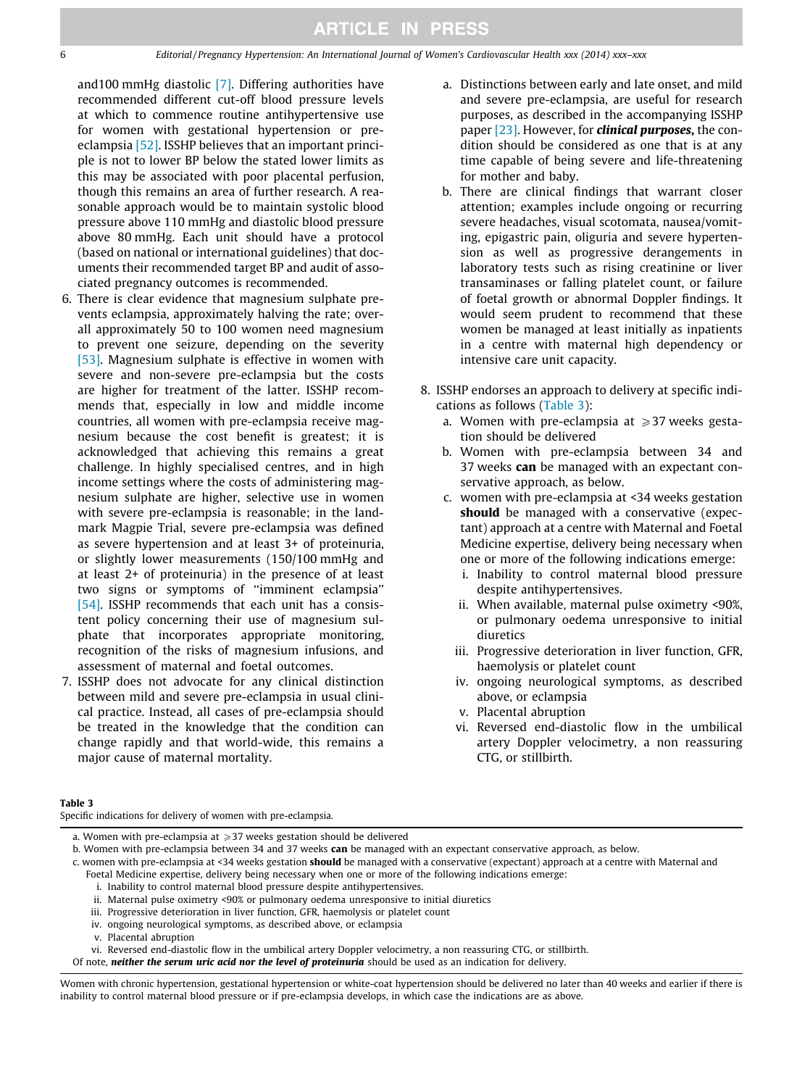6 Editorial / Pregnancy Hypertension: An International Journal of Women's Cardiovascular Health xxx (2014) xxx–xxx

and100 mmHg diastolic [\[7\]](#page-6-0). Differing authorities have recommended different cut-off blood pressure levels at which to commence routine antihypertensive use for women with gestational hypertension or preeclampsia [\[52\]](#page-7-0). ISSHP believes that an important principle is not to lower BP below the stated lower limits as this may be associated with poor placental perfusion, though this remains an area of further research. A reasonable approach would be to maintain systolic blood pressure above 110 mmHg and diastolic blood pressure above 80 mmHg. Each unit should have a protocol (based on national or international guidelines) that documents their recommended target BP and audit of associated pregnancy outcomes is recommended.

- 6. There is clear evidence that magnesium sulphate prevents eclampsia, approximately halving the rate; overall approximately 50 to 100 women need magnesium to prevent one seizure, depending on the severity [\[53\].](#page-7-0) Magnesium sulphate is effective in women with severe and non-severe pre-eclampsia but the costs are higher for treatment of the latter. ISSHP recommends that, especially in low and middle income countries, all women with pre-eclampsia receive magnesium because the cost benefit is greatest; it is acknowledged that achieving this remains a great challenge. In highly specialised centres, and in high income settings where the costs of administering magnesium sulphate are higher, selective use in women with severe pre-eclampsia is reasonable; in the landmark Magpie Trial, severe pre-eclampsia was defined as severe hypertension and at least 3+ of proteinuria, or slightly lower measurements (150/100 mmHg and at least 2+ of proteinuria) in the presence of at least two signs or symptoms of ''imminent eclampsia'' [\[54\].](#page-7-0) ISSHP recommends that each unit has a consistent policy concerning their use of magnesium sulphate that incorporates appropriate monitoring, recognition of the risks of magnesium infusions, and assessment of maternal and foetal outcomes.
- 7. ISSHP does not advocate for any clinical distinction between mild and severe pre-eclampsia in usual clinical practice. Instead, all cases of pre-eclampsia should be treated in the knowledge that the condition can change rapidly and that world-wide, this remains a major cause of maternal mortality.
- a. Distinctions between early and late onset, and mild and severe pre-eclampsia, are useful for research purposes, as described in the accompanying ISSHP paper [\[23\].](#page-6-0) However, for **clinical purposes**, the condition should be considered as one that is at any time capable of being severe and life-threatening for mother and baby.
- b. There are clinical findings that warrant closer attention; examples include ongoing or recurring severe headaches, visual scotomata, nausea/vomiting, epigastric pain, oliguria and severe hypertension as well as progressive derangements in laboratory tests such as rising creatinine or liver transaminases or falling platelet count, or failure of foetal growth or abnormal Doppler findings. It would seem prudent to recommend that these women be managed at least initially as inpatients in a centre with maternal high dependency or intensive care unit capacity.
- 8. ISSHP endorses an approach to delivery at specific indications as follows (Table 3):
	- a. Women with pre-eclampsia at  $\geq$ 37 weeks gestation should be delivered
	- b. Women with pre-eclampsia between 34 and 37 weeks can be managed with an expectant conservative approach, as below.
	- c. women with pre-eclampsia at <34 weeks gestation should be managed with a conservative (expectant) approach at a centre with Maternal and Foetal Medicine expertise, delivery being necessary when one or more of the following indications emerge:
		- i. Inability to control maternal blood pressure despite antihypertensives.
		- ii. When available, maternal pulse oximetry <90%, or pulmonary oedema unresponsive to initial diuretics
		- iii. Progressive deterioration in liver function, GFR, haemolysis or platelet count
		- iv. ongoing neurological symptoms, as described above, or eclampsia
		- v. Placental abruption
		- vi. Reversed end-diastolic flow in the umbilical artery Doppler velocimetry, a non reassuring CTG, or stillbirth.

#### Table 3

Specific indications for delivery of women with pre-eclampsia.

a. Women with pre-eclampsia at  $\geqslant$  37 weeks gestation should be delivered

- i. Inability to control maternal blood pressure despite antihypertensives.
- ii. Maternal pulse oximetry <90% or pulmonary oedema unresponsive to initial diuretics
- iii. Progressive deterioration in liver function, GFR, haemolysis or platelet count
- iv. ongoing neurological symptoms, as described above, or eclampsia
- v. Placental abruption

Of note, neither the serum uric acid nor the level of proteinuria should be used as an indication for delivery.

b. Women with pre-eclampsia between 34 and 37 weeks can be managed with an expectant conservative approach, as below.

c. women with pre-eclampsia at <34 weeks gestation should be managed with a conservative (expectant) approach at a centre with Maternal and Foetal Medicine expertise, delivery being necessary when one or more of the following indications emerge:

vi. Reversed end-diastolic flow in the umbilical artery Doppler velocimetry, a non reassuring CTG, or stillbirth.

Women with chronic hypertension, gestational hypertension or white-coat hypertension should be delivered no later than 40 weeks and earlier if there is inability to control maternal blood pressure or if pre-eclampsia develops, in which case the indications are as above.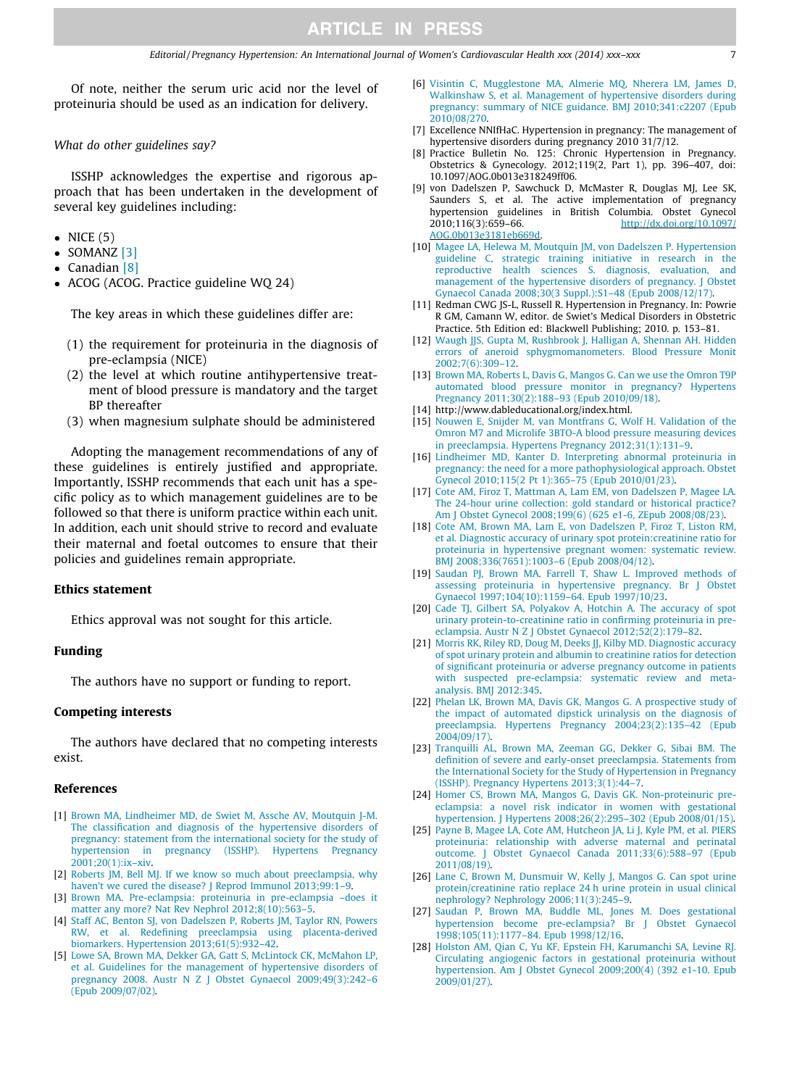<span id="page-6-0"></span>Of note, neither the serum uric acid nor the level of proteinuria should be used as an indication for delivery.

What do other guidelines say?

ISSHP acknowledges the expertise and rigorous approach that has been undertaken in the development of several key guidelines including:

- $\bullet$  NICE (5)
- $\bullet$  SOMANZ [3]
- Canadian [8]
- ACOG (ACOG. Practice guideline WQ 24)

The key areas in which these guidelines differ are:

- (1) the requirement for proteinuria in the diagnosis of pre-eclampsia (NICE)
- (2) the level at which routine antihypertensive treatment of blood pressure is mandatory and the target BP thereafter
- (3) when magnesium sulphate should be administered

Adopting the management recommendations of any of these guidelines is entirely justified and appropriate. Importantly, ISSHP recommends that each unit has a specific policy as to which management guidelines are to be followed so that there is uniform practice within each unit. In addition, each unit should strive to record and evaluate their maternal and foetal outcomes to ensure that their policies and guidelines remain appropriate.

#### Ethics statement

Ethics approval was not sought for this article.

#### Funding

The authors have no support or funding to report.

#### Competing interests

The authors have declared that no competing interests exist.

#### References

- [1] [Brown MA, Lindheimer MD, de Swiet M, Assche AV, Moutquin J-M.](http://refhub.elsevier.com/S2210-7789(14)00018-X/h0005) [The classification and diagnosis of the hypertensive disorders of](http://refhub.elsevier.com/S2210-7789(14)00018-X/h0005) [pregnancy: statement from the international society for the study of](http://refhub.elsevier.com/S2210-7789(14)00018-X/h0005) [hypertension in pregnancy \(ISSHP\). Hypertens Pregnancy](http://refhub.elsevier.com/S2210-7789(14)00018-X/h0005) [2001;20\(1\):ix–xiv](http://refhub.elsevier.com/S2210-7789(14)00018-X/h0005).
- [2] [Roberts JM, Bell MJ. If we know so much about preeclampsia, why](http://refhub.elsevier.com/S2210-7789(14)00018-X/h0010) haven't we cured the disease? J Reprod Immunol 2013;99:1-9.
- [3] [Brown MA. Pre-eclampsia: proteinuria in pre-eclampsia –does it](http://refhub.elsevier.com/S2210-7789(14)00018-X/h0015) [matter any more? Nat Rev Nephrol 2012;8\(10\):563–5.](http://refhub.elsevier.com/S2210-7789(14)00018-X/h0015)
- [4] [Staff AC, Benton SJ, von Dadelszen P, Roberts JM, Taylor RN, Powers](http://refhub.elsevier.com/S2210-7789(14)00018-X/h0020) [RW, et al. Redefining preeclampsia using placenta-derived](http://refhub.elsevier.com/S2210-7789(14)00018-X/h0020) [biomarkers. Hypertension 2013;61\(5\):932–42.](http://refhub.elsevier.com/S2210-7789(14)00018-X/h0020)
- [5] [Lowe SA, Brown MA, Dekker GA, Gatt S, McLintock CK, McMahon LP,](http://refhub.elsevier.com/S2210-7789(14)00018-X/h0025) [et al. Guidelines for the management of hypertensive disorders of](http://refhub.elsevier.com/S2210-7789(14)00018-X/h0025) [pregnancy 2008. Austr N Z J Obstet Gynaecol 2009;49\(3\):242–6](http://refhub.elsevier.com/S2210-7789(14)00018-X/h0025) [\(Epub 2009/07/02\).](http://refhub.elsevier.com/S2210-7789(14)00018-X/h0025)
- [6] [Visintin C, Mugglestone MA, Almerie MQ, Nherera LM, James D,](http://refhub.elsevier.com/S2210-7789(14)00018-X/h0030) [Walkinshaw S, et al. Management of hypertensive disorders during](http://refhub.elsevier.com/S2210-7789(14)00018-X/h0030) [pregnancy: summary of NICE guidance. BMJ 2010;341:c2207 \(Epub](http://refhub.elsevier.com/S2210-7789(14)00018-X/h0030) [2010/08/270](http://refhub.elsevier.com/S2210-7789(14)00018-X/h0030).
- [7] Excellence NNIfHaC. Hypertension in pregnancy: The management of hypertensive disorders during pregnancy 2010 31/7/12.
- [8] Practice Bulletin No. 125: Chronic Hypertension in Pregnancy. Obstetrics & Gynecology. 2012;119(2, Part 1), pp. 396–407, doi: 10.1097/AOG.0b013e318249ff06.
- [9] von Dadelszen P, Sawchuck D, McMaster R, Douglas MJ, Lee SK, Saunders S, et al. The active implementation of pregnancy hypertension guidelines in British Columbia. Obstet Gynecol 2010;116(3):659-66.<br>
http://dx.doi.org/10.1097/ 2010;116(3):659–66. [http://dx.doi.org/10.1097/](http://dx.doi.org/10.1097/AOG.0b013e3181eb669d) [AOG.0b013e3181eb669d](http://dx.doi.org/10.1097/AOG.0b013e3181eb669d).
- [10] [Magee LA, Helewa M, Moutquin JM, von Dadelszen P. Hypertension](http://refhub.elsevier.com/S2210-7789(14)00018-X/h0050) [guideline C, strategic training initiative in research in the](http://refhub.elsevier.com/S2210-7789(14)00018-X/h0050) [reproductive health sciences S. diagnosis, evaluation, and](http://refhub.elsevier.com/S2210-7789(14)00018-X/h0050) [management of the hypertensive disorders of pregnancy. J Obstet](http://refhub.elsevier.com/S2210-7789(14)00018-X/h0050) [Gynaecol Canada 2008;30\(3 Suppl.\):S1–48 \(Epub 2008/12/17\).](http://refhub.elsevier.com/S2210-7789(14)00018-X/h0050)
- [11] Redman CWG JS-L, Russell R. Hypertension in Pregnancy. In: Powrie R GM, Camann W, editor. de Swiet's Medical Disorders in Obstetric Practice. 5th Edition ed: Blackwell Publishing; 2010. p. 153–81.
- [12] [Waugh JJS, Gupta M, Rushbrook J, Halligan A, Shennan AH. Hidden](http://refhub.elsevier.com/S2210-7789(14)00018-X/h0060) [errors of aneroid sphygmomanometers. Blood Pressure Monit](http://refhub.elsevier.com/S2210-7789(14)00018-X/h0060) [2002;7\(6\):309–12.](http://refhub.elsevier.com/S2210-7789(14)00018-X/h0060)
- [13] [Brown MA, Roberts L, Davis G, Mangos G. Can we use the Omron T9P](http://refhub.elsevier.com/S2210-7789(14)00018-X/h0065) [automated blood pressure monitor in pregnancy? Hypertens](http://refhub.elsevier.com/S2210-7789(14)00018-X/h0065) [Pregnancy 2011;30\(2\):188–93 \(Epub 2010/09/18\).](http://refhub.elsevier.com/S2210-7789(14)00018-X/h0065)
- [14] http://www.dableducational.org/index.html.
- [15] [Nouwen E, Snijder M, van Montfrans G, Wolf H. Validation of the](http://refhub.elsevier.com/S2210-7789(14)00018-X/h0075) [Omron M7 and Microlife 3BTO-A blood pressure measuring devices](http://refhub.elsevier.com/S2210-7789(14)00018-X/h0075) [in preeclampsia. Hypertens Pregnancy 2012;31\(1\):131–9.](http://refhub.elsevier.com/S2210-7789(14)00018-X/h0075)
- [16] [Lindheimer MD, Kanter D. Interpreting abnormal proteinuria in](http://refhub.elsevier.com/S2210-7789(14)00018-X/h0080) [pregnancy: the need for a more pathophysiological approach. Obstet](http://refhub.elsevier.com/S2210-7789(14)00018-X/h0080) [Gynecol 2010;115\(2 Pt 1\):365–75 \(Epub 2010/01/23\).](http://refhub.elsevier.com/S2210-7789(14)00018-X/h0080)
- [17] [Cote AM, Firoz T, Mattman A, Lam EM, von Dadelszen P, Magee LA.](http://refhub.elsevier.com/S2210-7789(14)00018-X/h0085) [The 24-hour urine collection: gold standard or historical practice?](http://refhub.elsevier.com/S2210-7789(14)00018-X/h0085) [Am J Obstet Gynecol 2008;199\(6\) \(625 e1-6, ZEpub 2008/08/23\).](http://refhub.elsevier.com/S2210-7789(14)00018-X/h0085)
- [18] [Cote AM, Brown MA, Lam E, von Dadelszen P, Firoz T, Liston RM,](http://refhub.elsevier.com/S2210-7789(14)00018-X/h0090) [et al. Diagnostic accuracy of urinary spot protein:creatinine ratio for](http://refhub.elsevier.com/S2210-7789(14)00018-X/h0090) [proteinuria in hypertensive pregnant women: systematic review.](http://refhub.elsevier.com/S2210-7789(14)00018-X/h0090) [BMJ 2008;336\(7651\):1003–6 \(Epub 2008/04/12\)](http://refhub.elsevier.com/S2210-7789(14)00018-X/h0090).
- [19] [Saudan PJ, Brown MA, Farrell T, Shaw L. Improved methods of](http://refhub.elsevier.com/S2210-7789(14)00018-X/h0095) [assessing proteinuria in hypertensive pregnancy. Br J Obstet](http://refhub.elsevier.com/S2210-7789(14)00018-X/h0095) [Gynaecol 1997;104\(10\):1159–64. Epub 1997/10/23](http://refhub.elsevier.com/S2210-7789(14)00018-X/h0095).
- [20] [Cade TJ, Gilbert SA, Polyakov A, Hotchin A. The accuracy of spot](http://refhub.elsevier.com/S2210-7789(14)00018-X/h0100) [urinary protein-to-creatinine ratio in confirming proteinuria in pre](http://refhub.elsevier.com/S2210-7789(14)00018-X/h0100)[eclampsia. Austr N Z J Obstet Gynaecol 2012;52\(2\):179–82.](http://refhub.elsevier.com/S2210-7789(14)00018-X/h0100)
- [21] [Morris RK, Riley RD, Doug M, Deeks JJ, Kilby MD. Diagnostic accuracy](http://refhub.elsevier.com/S2210-7789(14)00018-X/h0105) [of spot urinary protein and albumin to creatinine ratios for detection](http://refhub.elsevier.com/S2210-7789(14)00018-X/h0105) [of significant proteinuria or adverse pregnancy outcome in patients](http://refhub.elsevier.com/S2210-7789(14)00018-X/h0105) [with suspected pre-eclampsia: systematic review and meta](http://refhub.elsevier.com/S2210-7789(14)00018-X/h0105)[analysis. BMJ 2012:345.](http://refhub.elsevier.com/S2210-7789(14)00018-X/h0105)
- [22] [Phelan LK, Brown MA, Davis GK, Mangos G. A prospective study of](http://refhub.elsevier.com/S2210-7789(14)00018-X/h0110) [the impact of automated dipstick urinalysis on the diagnosis of](http://refhub.elsevier.com/S2210-7789(14)00018-X/h0110) [preeclampsia. Hypertens Pregnancy 2004;23\(2\):135–42 \(Epub](http://refhub.elsevier.com/S2210-7789(14)00018-X/h0110) [2004/09/17\).](http://refhub.elsevier.com/S2210-7789(14)00018-X/h0110)
- [23] [Tranquilli AL, Brown MA, Zeeman GG, Dekker G, Sibai BM. The](http://refhub.elsevier.com/S2210-7789(14)00018-X/h0115) [definition of severe and early-onset preeclampsia. Statements from](http://refhub.elsevier.com/S2210-7789(14)00018-X/h0115) [the International Society for the Study of Hypertension in Pregnancy](http://refhub.elsevier.com/S2210-7789(14)00018-X/h0115) [\(ISSHP\). Pregnancy Hypertens 2013;3\(1\):44–7](http://refhub.elsevier.com/S2210-7789(14)00018-X/h0115).
- [24] [Homer CS, Brown MA, Mangos G, Davis GK. Non-proteinuric pre](http://refhub.elsevier.com/S2210-7789(14)00018-X/h0120)[eclampsia: a novel risk indicator in women with gestational](http://refhub.elsevier.com/S2210-7789(14)00018-X/h0120) [hypertension. J Hypertens 2008;26\(2\):295–302 \(Epub 2008/01/15\)](http://refhub.elsevier.com/S2210-7789(14)00018-X/h0120).
- [25] [Payne B, Magee LA, Cote AM, Hutcheon JA, Li J, Kyle PM, et al. PIERS](http://refhub.elsevier.com/S2210-7789(14)00018-X/h0125) [proteinuria: relationship with adverse maternal and perinatal](http://refhub.elsevier.com/S2210-7789(14)00018-X/h0125) [outcome. J Obstet Gynaecol Canada 2011;33\(6\):588–97 \(Epub](http://refhub.elsevier.com/S2210-7789(14)00018-X/h0125) [2011/08/19\).](http://refhub.elsevier.com/S2210-7789(14)00018-X/h0125)
- [26] [Lane C, Brown M, Dunsmuir W, Kelly J, Mangos G. Can spot urine](http://refhub.elsevier.com/S2210-7789(14)00018-X/h0130) [protein/creatinine ratio replace 24 h urine protein in usual clinical](http://refhub.elsevier.com/S2210-7789(14)00018-X/h0130) [nephrology? Nephrology 2006;11\(3\):245–9](http://refhub.elsevier.com/S2210-7789(14)00018-X/h0130). [27] [Saudan P, Brown MA, Buddle ML, Jones M. Does gestational](http://refhub.elsevier.com/S2210-7789(14)00018-X/h0135)
- [hypertension become pre-eclampsia? Br J Obstet Gynaecol](http://refhub.elsevier.com/S2210-7789(14)00018-X/h0135) [1998;105\(11\):1177–84. Epub 1998/12/16](http://refhub.elsevier.com/S2210-7789(14)00018-X/h0135).
- [28] [Holston AM, Qian C, Yu KF, Epstein FH, Karumanchi SA, Levine RJ.](http://refhub.elsevier.com/S2210-7789(14)00018-X/h0140) [Circulating angiogenic factors in gestational proteinuria without](http://refhub.elsevier.com/S2210-7789(14)00018-X/h0140) [hypertension. Am J Obstet Gynecol 2009;200\(4\) \(392 e1-10. Epub](http://refhub.elsevier.com/S2210-7789(14)00018-X/h0140) [2009/01/27\).](http://refhub.elsevier.com/S2210-7789(14)00018-X/h0140)